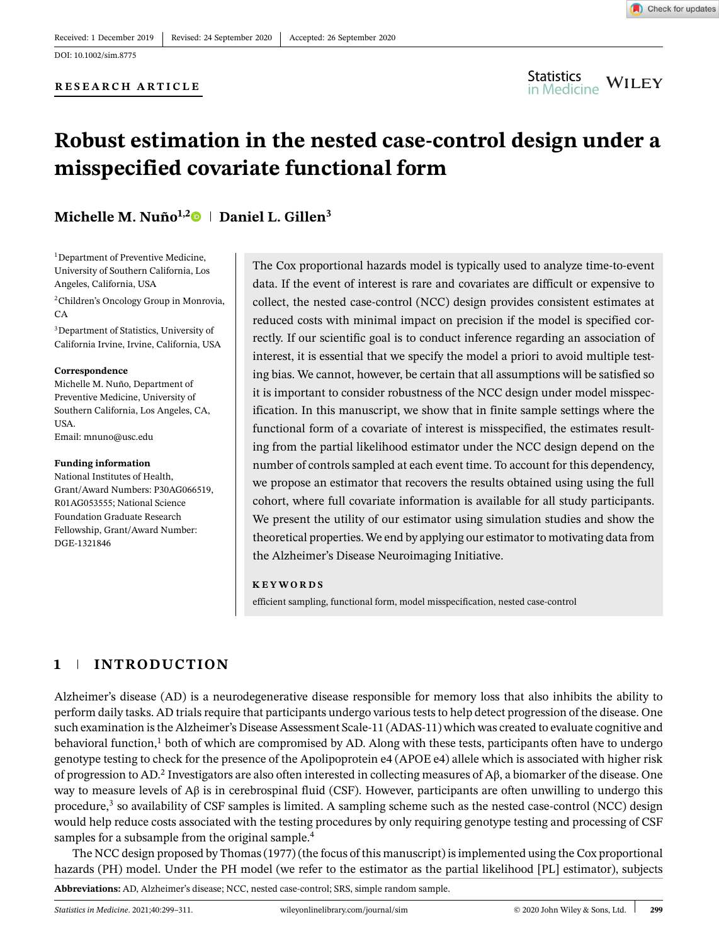Statistics<br>in Medicine WILEY

#### **RESEARCH ARTICLE**

# **Robust estimation in the nested case-control design under a misspecified covariate functional form**

# **Michelle M. Nuño1,[2](https://orcid.org/0000-0003-2031-929X) Daniel L. Gillen<sup>3</sup>**

<sup>1</sup>Department of Preventive Medicine, University of Southern California, Los Angeles, California, USA

2Children's Oncology Group in Monrovia, CA

3Department of Statistics, University of California Irvine, Irvine, California, USA

#### **Correspondence**

Michelle M. Nuño, Department of Preventive Medicine, University of Southern California, Los Angeles, CA, USA. Email: mnuno@usc.edu

#### **Funding information**

National Institutes of Health, Grant/Award Numbers: P30AG066519, R01AG053555; National Science Foundation Graduate Research Fellowship, Grant/Award Number: DGE-1321846

The Cox proportional hazards model is typically used to analyze time-to-event data. If the event of interest is rare and covariates are difficult or expensive to collect, the nested case-control (NCC) design provides consistent estimates at reduced costs with minimal impact on precision if the model is specified correctly. If our scientific goal is to conduct inference regarding an association of interest, it is essential that we specify the model a priori to avoid multiple testing bias. We cannot, however, be certain that all assumptions will be satisfied so it is important to consider robustness of the NCC design under model misspecification. In this manuscript, we show that in finite sample settings where the functional form of a covariate of interest is misspecified, the estimates resulting from the partial likelihood estimator under the NCC design depend on the number of controls sampled at each event time. To account for this dependency, we propose an estimator that recovers the results obtained using using the full cohort, where full covariate information is available for all study participants. We present the utility of our estimator using simulation studies and show the theoretical properties. We end by applying our estimator to motivating data from the Alzheimer's Disease Neuroimaging Initiative.

#### **KEYWORDS**

efficient sampling, functional form, model misspecification, nested case-control

## **1 INTRODUCTION**

Alzheimer's disease (AD) is a neurodegenerative disease responsible for memory loss that also inhibits the ability to perform daily tasks. AD trials require that participants undergo various tests to help detect progression of the disease. One such examination is the Alzheimer's Disease Assessment Scale-11 (ADAS-11) which was created to evaluate cognitive and behavioral function, $1$  both of which are compromised by AD. Along with these tests, participants often have to undergo genotype testing to check for the presence of the Apolipoprotein e4 (APOE e4) allele which is associated with higher risk of progression to AD.2 Investigators are also often interested in collecting measures of Aβ, a biomarker of the disease. One way to measure levels of  $\mathsf{A}\beta$  is in cerebrospinal fluid (CSF). However, participants are often unwilling to undergo this procedure,<sup>3</sup> so availability of CSF samples is limited. A sampling scheme such as the nested case-control (NCC) design would help reduce costs associated with the testing procedures by only requiring genotype testing and processing of CSF samples for a subsample from the original sample.<sup>4</sup>

The NCC design proposed by Thomas (1977) (the focus of this manuscript) is implemented using the Cox proportional hazards (PH) model. Under the PH model (we refer to the estimator as the partial likelihood [PL] estimator), subjects **Abbreviations:** AD, Alzheimer's disease; NCC, nested case-control; SRS, simple random sample.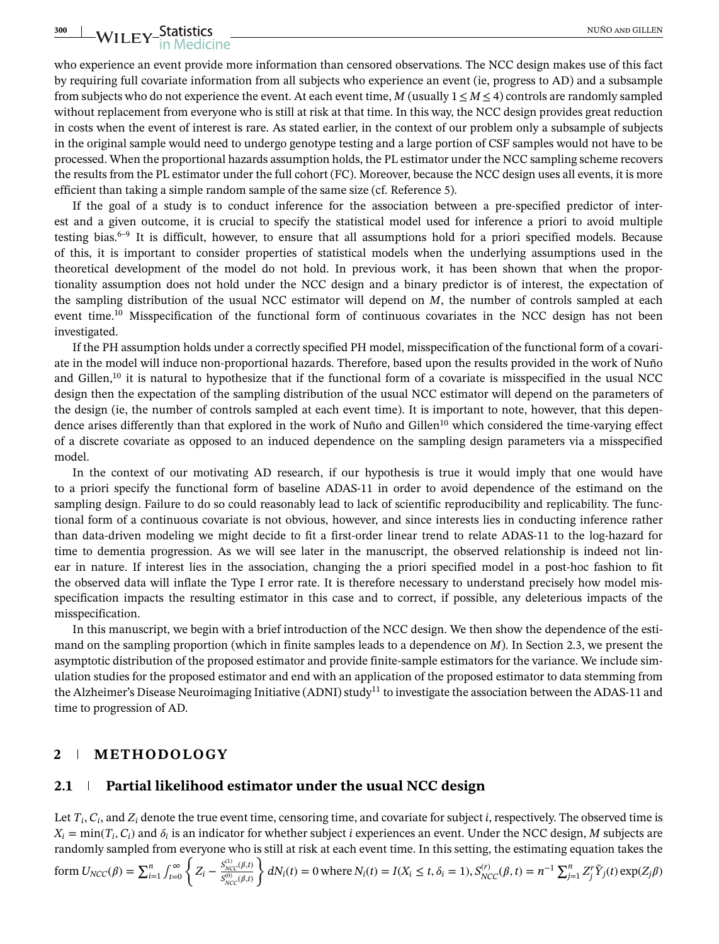# WILEY-Statistics Nuño and GILLEN

who experience an event provide more information than censored observations. The NCC design makes use of this fact by requiring full covariate information from all subjects who experience an event (ie, progress to AD) and a subsample from subjects who do not experience the event. At each event time, *M* (usually  $1 \le M \le 4$ ) controls are randomly sampled without replacement from everyone who is still at risk at that time. In this way, the NCC design provides great reduction in costs when the event of interest is rare. As stated earlier, in the context of our problem only a subsample of subjects in the original sample would need to undergo genotype testing and a large portion of CSF samples would not have to be processed. When the proportional hazards assumption holds, the PL estimator under the NCC sampling scheme recovers the results from the PL estimator under the full cohort (FC). Moreover, because the NCC design uses all events, it is more efficient than taking a simple random sample of the same size (cf. Reference 5).

If the goal of a study is to conduct inference for the association between a pre-specified predictor of interest and a given outcome, it is crucial to specify the statistical model used for inference a priori to avoid multiple testing bias.<sup>6–9</sup> It is difficult, however, to ensure that all assumptions hold for a priori specified models. Because of this, it is important to consider properties of statistical models when the underlying assumptions used in the theoretical development of the model do not hold. In previous work, it has been shown that when the proportionality assumption does not hold under the NCC design and a binary predictor is of interest, the expectation of the sampling distribution of the usual NCC estimator will depend on *M*, the number of controls sampled at each event time.10 Misspecification of the functional form of continuous covariates in the NCC design has not been investigated.

If the PH assumption holds under a correctly specified PH model, misspecification of the functional form of a covariate in the model will induce non-proportional hazards. Therefore, based upon the results provided in the work of Nuño and Gillen,<sup>10</sup> it is natural to hypothesize that if the functional form of a covariate is misspecified in the usual NCC design then the expectation of the sampling distribution of the usual NCC estimator will depend on the parameters of the design (ie, the number of controls sampled at each event time). It is important to note, however, that this dependence arises differently than that explored in the work of Nuño and Gillen<sup>10</sup> which considered the time-varying effect of a discrete covariate as opposed to an induced dependence on the sampling design parameters via a misspecified model.

In the context of our motivating AD research, if our hypothesis is true it would imply that one would have to a priori specify the functional form of baseline ADAS-11 in order to avoid dependence of the estimand on the sampling design. Failure to do so could reasonably lead to lack of scientific reproducibility and replicability. The functional form of a continuous covariate is not obvious, however, and since interests lies in conducting inference rather than data-driven modeling we might decide to fit a first-order linear trend to relate ADAS-11 to the log-hazard for time to dementia progression. As we will see later in the manuscript, the observed relationship is indeed not linear in nature. If interest lies in the association, changing the a priori specified model in a post-hoc fashion to fit the observed data will inflate the Type I error rate. It is therefore necessary to understand precisely how model misspecification impacts the resulting estimator in this case and to correct, if possible, any deleterious impacts of the misspecification.

In this manuscript, we begin with a brief introduction of the NCC design. We then show the dependence of the estimand on the sampling proportion (which in finite samples leads to a dependence on *M*). In Section 2.3, we present the asymptotic distribution of the proposed estimator and provide finite-sample estimators for the variance. We include simulation studies for the proposed estimator and end with an application of the proposed estimator to data stemming from the Alzheimer's Disease Neuroimaging Initiative (ADNI) study<sup>11</sup> to investigate the association between the ADAS-11 and time to progression of AD.

#### **2 METHODOLOGY**

#### **2.1 Partial likelihood estimator under the usual NCC design**

Let  $T_i$ ,  $C_i$ , and  $Z_i$  denote the true event time, censoring time, and covariate for subject *i*, respectively. The observed time is  $X_i = min(T_i, C_i)$  and  $\delta_i$  is an indicator for whether subject *i* experiences an event. Under the NCC design, *M* subjects are randomly sampled from everyone who is still at risk at each event time. In this setting, the estimating equation takes the form  $U_{NCC}(\beta) = \sum_{i=1}^{n} \int_{t=0}^{\infty}$  $\left\{ Z_i - \frac{S_{NCC}^{(1)}(\beta,t)}{S_{NCC}^{(0)}(\beta,t)} \right\}$  $S_{NCC}^{(0)}(\beta,t)$  $\left\{ dN_i(t) = 0 \text{ where } N_i(t) = I(X_i \le t, \delta_i = 1), S_{NCC}^{(r)}(\beta, t) = n^{-1} \sum_{j=1}^n Z_j^r \tilde{Y}_j(t) \exp(Z_j \beta) \right\}$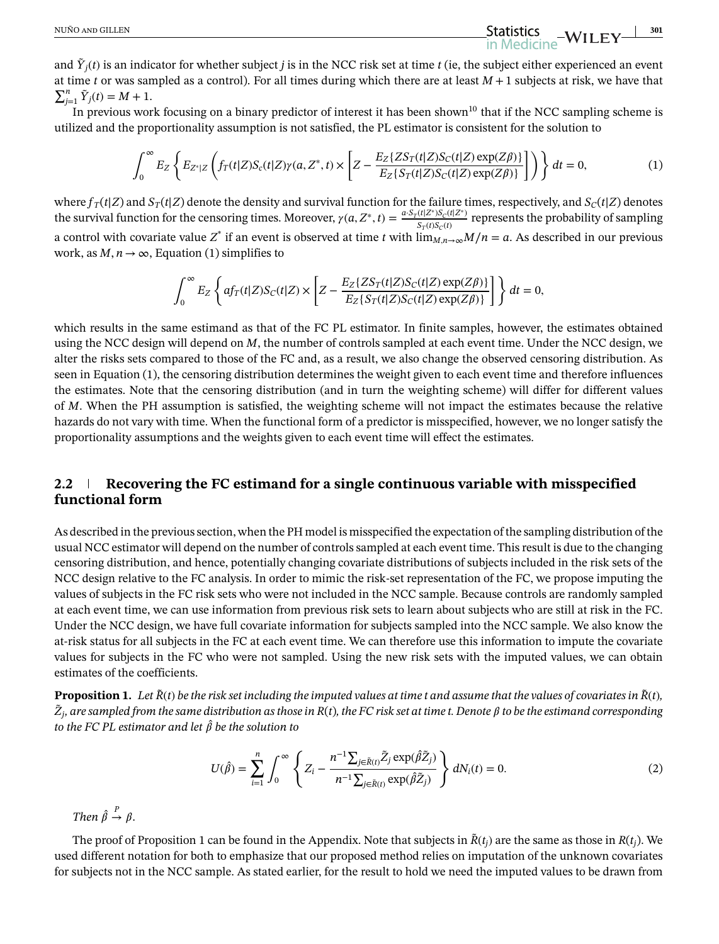and  $\tilde{Y}_i(t)$  is an indicator for whether subject *j* is in the NCC risk set at time *t* (ie, the subject either experienced an event at time *t* or was sampled as a control). For all times during which there are at least *M* +1 subjects at risk, we have that  $\sum_{j=1}^{n} \tilde{Y}_j(t) = M + 1.$ 

In previous work focusing on a binary predictor of interest it has been shown<sup>10</sup> that if the NCC sampling scheme is utilized and the proportionality assumption is not satisfied, the PL estimator is consistent for the solution to

$$
\int_0^\infty E_Z \left\{ E_{Z^*|Z} \left( f_T(t|Z) S_c(t|Z) \gamma(a, Z^*, t) \times \left[ Z - \frac{E_Z \{ Z S_T(t|Z) S_C(t|Z) \exp(Z\beta) \}}{E_Z \{ S_T(t|Z) S_C(t|Z) \exp(Z\beta) \}} \right] \right) \right\} dt = 0,
$$
\n(1)

where  $f_T(t|Z)$  and  $S_T(t|Z)$  denote the density and survival function for the failure times, respectively, and  $S_C(t|Z)$  denotes<br>the survival function for the censoring times. Moreover,  $\gamma(a, Z^*, t) = \frac{a \cdot S_T(t|Z^*) S_C(t|Z^*)}{S_T(t) S$ a control with covariate value  $Z^*$  if an event is observed at time *t* with  $\lim_{M,n\to\infty} M/n = a$ . As described in our previous work, as  $M, n \rightarrow \infty$ , Equation (1) simplifies to

$$
\int_0^\infty E_Z\left\{af_T(t|Z)S_C(t|Z) \times \left[Z - \frac{E_Z\{ZS_T(t|Z)S_C(t|Z)\exp(Z\beta)\}}{E_Z\{S_T(t|Z)S_C(t|Z)\exp(Z\beta)\}}\right]\right\} dt = 0,
$$

which results in the same estimand as that of the FC PL estimator. In finite samples, however, the estimates obtained using the NCC design will depend on *M*, the number of controls sampled at each event time. Under the NCC design, we alter the risks sets compared to those of the FC and, as a result, we also change the observed censoring distribution. As seen in Equation (1), the censoring distribution determines the weight given to each event time and therefore influences the estimates. Note that the censoring distribution (and in turn the weighting scheme) will differ for different values of *M*. When the PH assumption is satisfied, the weighting scheme will not impact the estimates because the relative hazards do not vary with time. When the functional form of a predictor is misspecified, however, we no longer satisfy the proportionality assumptions and the weights given to each event time will effect the estimates.

## **2.2 Recovering the FC estimand for a single continuous variable with misspecified functional form**

As described in the previous section, when the PH model is misspecified the expectation of the sampling distribution of the usual NCC estimator will depend on the number of controls sampled at each event time. This result is due to the changing censoring distribution, and hence, potentially changing covariate distributions of subjects included in the risk sets of the NCC design relative to the FC analysis. In order to mimic the risk-set representation of the FC, we propose imputing the values of subjects in the FC risk sets who were not included in the NCC sample. Because controls are randomly sampled at each event time, we can use information from previous risk sets to learn about subjects who are still at risk in the FC. Under the NCC design, we have full covariate information for subjects sampled into the NCC sample. We also know the at-risk status for all subjects in the FC at each event time. We can therefore use this information to impute the covariate values for subjects in the FC who were not sampled. Using the new risk sets with the imputed values, we can obtain estimates of the coefficients.

**Proposition 1.** Let  $\tilde{R}(t)$  be the risk set including the imputed values at time t and assume that the values of covariates in  $\tilde{R}(t)$ ,  $\tilde{Z}_i$ , are sampled from the same distribution as those in R(t), the FC risk set at time t. Denote  $\beta$  to be the estimand corresponding *to the FC PL estimator and let*  $\hat{\beta}$  *be the solution to* 

$$
U(\hat{\beta}) = \sum_{i=1}^{n} \int_0^{\infty} \left\{ Z_i - \frac{n^{-1} \sum_{j \in \tilde{R}(t)} \tilde{Z}_j \exp(\hat{\beta} \tilde{Z}_j)}{n^{-1} \sum_{j \in \tilde{R}(t)} \exp(\hat{\beta} \tilde{Z}_j)} \right\} dN_i(t) = 0.
$$
 (2)

*Then*  $\hat{\beta} \stackrel{P}{\rightarrow} \beta$ .

The proof of Proposition 1 can be found in the Appendix. Note that subjects in  $\tilde{R}(t_i)$  are the same as those in  $R(t_i)$ . We used different notation for both to emphasize that our proposed method relies on imputation of the unknown covariates for subjects not in the NCC sample. As stated earlier, for the result to hold we need the imputed values to be drawn from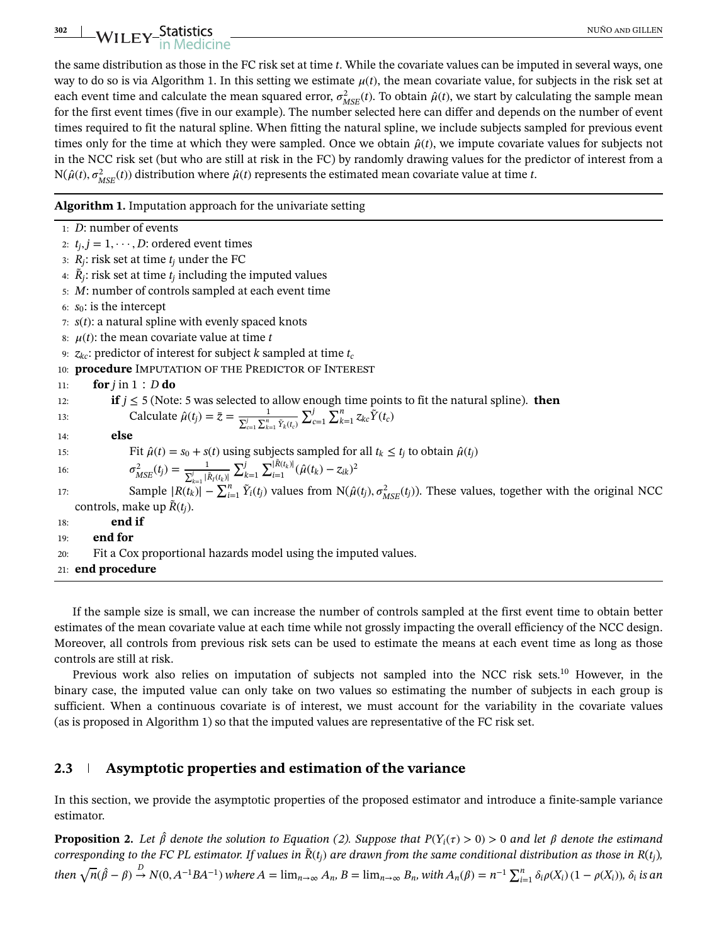# **302** WILEY-Statistics Nuño and GILLEN

the same distribution as those in the FC risk set at time *t*. While the covariate values can be imputed in several ways, one way to do so is via Algorithm 1. In this setting we estimate  $\mu(t)$ , the mean covariate value, for subjects in the risk set at each event time and calculate the mean squared error,  $\sigma^2_{MSE}(t)$ . To obtain  $\hat{\mu}(t)$ , we start by calculating the sample mean for the first event times (five in our example). The number selected here can differ and depends on the number of event times required to fit the natural spline. When fitting the natural spline, we include subjects sampled for previous event times only for the time at which they were sampled. Once we obtain  $\hat{\mu}(t)$ , we impute covariate values for subjects not in the NCC risk set (but who are still at risk in the FC) by randomly drawing values for the predictor of interest from a  $N(\hat{\mu}(t), \sigma_{MSE}^2(t))$  distribution where  $\hat{\mu}(t)$  represents the estimated mean covariate value at time *t*.

**Algorithm 1.** Imputation approach for the univariate setting

1: *D*: number of events

2:  $t_i$ ,  $j = 1, \dots, D$ : ordered event times

- 3:  $R_i$ : risk set at time  $t_i$  under the FC
- 4:  $\tilde{R}_i$ : risk set at time  $t_i$  including the imputed values
- 5: *M*: number of controls sampled at each event time
- 6:  $s_0$ : is the intercept
- 7: *s*(*t*): a natural spline with evenly spaced knots
- 8:  $\mu(t)$ : the mean covariate value at time *t*
- 9:  $z_{kc}$ : predictor of interest for subject *k* sampled at time  $t_c$
- 10: **procedure** IMPUTATION OF THE PREDICTOR OF INTEREST
- 11: **for** *j* in 1 ∶ *D* **do**

12: **if**  $j \le 5$  (Note: 5 was selected to allow enough time points to fit the natural spline). **then** 

13: Calculate 
$$
\hat{\mu}(t_j) = \bar{z} = \frac{1}{\sum_{c=1}^{j} \bar{Y}_{k}(t_c)} \sum_{c=1}^{j} \sum_{k=1}^{n} z_{kc} \tilde{Y}(t_c)
$$

14: **else**

15: Fit  $\hat{\mu}(t) = s_0 + s(t)$  using subjects sampled for all  $t_k \le t_j$  to obtain  $\hat{\mu}(t_j)$ 

16:  $\sigma_{MSE}^2(t_j) = \frac{1}{\sum_{k=1}^j |\tilde{R}_I(t_k)|}$  $\sum_{k=1}^{j} \sum_{i=1}^{|\tilde{R}(t_k)|} (\hat{\mu}(t_k) - z_{ik})^2$ 

17: Sample  $|R(t_k)| - \sum_{i=1}^n \tilde{Y}_i(t_j)$  values from  $N(\hat{\mu}(t_j), \sigma_{MSE}^2(t_j))$ . These values, together with the original NCC controls, make up *R̃*(*tj*).

- 18: **end if**
- 19: **end for**
- 20: Fit a Cox proportional hazards model using the imputed values.
- 21: **end procedure**

If the sample size is small, we can increase the number of controls sampled at the first event time to obtain better estimates of the mean covariate value at each time while not grossly impacting the overall efficiency of the NCC design. Moreover, all controls from previous risk sets can be used to estimate the means at each event time as long as those controls are still at risk.

Previous work also relies on imputation of subjects not sampled into the NCC risk sets.<sup>10</sup> However, in the binary case, the imputed value can only take on two values so estimating the number of subjects in each group is sufficient. When a continuous covariate is of interest, we must account for the variability in the covariate values (as is proposed in Algorithm 1) so that the imputed values are representative of the FC risk set.

## **2.3 Asymptotic properties and estimation of the variance**

In this section, we provide the asymptotic properties of the proposed estimator and introduce a finite-sample variance estimator.

**Proposition 2.** Let  $\hat{\beta}$  denote the solution to Equation (2). Suppose that  $P(Y_i(\tau) > 0) > 0$  and let  $\beta$  denote the estimand *corresponding to the FC PL estimator. If values in*  $\tilde{R}(t_i)$  *are drawn from the same conditional distribution as those in*  $R(t_j)$ *,* then  $\sqrt{n}(\hat{\beta}-\beta) \stackrel{D}{\rightarrow} N(0, A^{-1}BA^{-1})$  where  $A = \lim_{n \to \infty} A_n$ ,  $B = \lim_{n \to \infty} B_n$ , with  $A_n(\beta) = n^{-1} \sum_{i=1}^n \delta_i \rho(X_i) (1 - \rho(X_i))$ ,  $\delta_i$  is an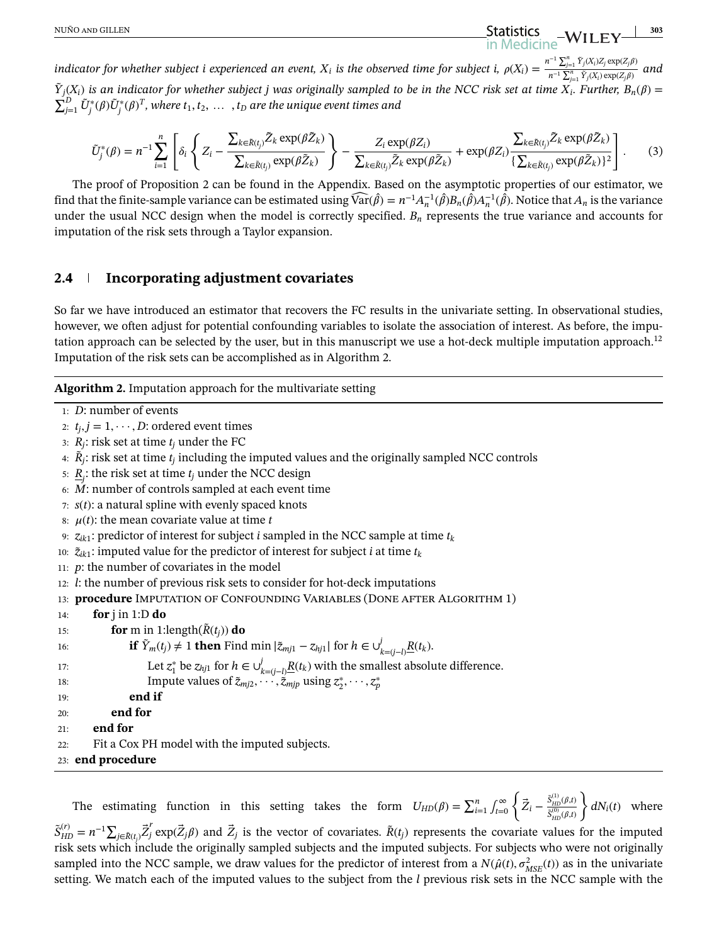*indicator for whether subject i experienced an event,*  $X_i$  *<i>is the observed time for subject i,*  $\rho(X_i) = \frac{n^{-1} \sum_{j=1}^n \hat{Y}_j(X_i) Z_j \exp(Z_j \beta)}{n^{-1} \sum_{j=1}^n \hat{Y}_j(X_i) \exp(Z_i \beta)}$ *n*<sup>-1</sup>  $\sum_{j=1}^{n} \tilde{Y}_j(X_i) \exp(Z_j \beta)$  *and*  $\tilde{Y}_j(X_i)$  *is an indicator for whether subject j was originally sampled to be in the NCC risk set at time*  $X_i$ *. Further,*  $B_n(\beta)$  *=*  $\sum_{j=1}^D \tilde{U}_j^*(\beta) \tilde{U}_j^*(\beta)^T$ , where  $t_1,t_2,\ \dots\ \ ,t_D$  are the unique event times and

$$
\tilde{U}_{j}^{*}(\beta) = n^{-1} \sum_{i=1}^{n} \left[ \delta_{i} \left\{ Z_{i} - \frac{\sum_{k \in \tilde{R}(t_{j})} \tilde{Z}_{k} \exp(\beta \tilde{Z}_{k})}{\sum_{k \in \tilde{R}(t_{j})} \exp(\beta \tilde{Z}_{k})} \right\} - \frac{Z_{i} \exp(\beta Z_{i})}{\sum_{k \in \tilde{R}(t_{j})} \tilde{Z}_{k} \exp(\beta \tilde{Z}_{k})} + \exp(\beta Z_{i}) \frac{\sum_{k \in \tilde{R}(t_{j})} \tilde{Z}_{k} \exp(\beta \tilde{Z}_{k})}{\left\{ \sum_{k \in \tilde{R}(t_{j})} \exp(\beta \tilde{Z}_{k}) \right\}} \right].
$$
 (3)

The proof of Proposition 2 can be found in the Appendix. Based on the asymptotic properties of our estimator, we find that the finite-sample variance can be estimated using  $\widehat{\text{Var}}(\hat{\beta}) = n^{-1} A_n^{-1}(\hat{\beta}) B_n(\hat{\beta}) A_n^{-1}(\hat{\beta})$ . Notice that  $A_n$  is the variance under the usual NCC design when the model is correctly specified.  $B<sub>n</sub>$  represents the true variance and accounts for imputation of the risk sets through a Taylor expansion.

## **2.4 Incorporating adjustment covariates**

So far we have introduced an estimator that recovers the FC results in the univariate setting. In observational studies, however, we often adjust for potential confounding variables to isolate the association of interest. As before, the imputation approach can be selected by the user, but in this manuscript we use a hot-deck multiple imputation approach.<sup>12</sup> Imputation of the risk sets can be accomplished as in Algorithm 2.

**Algorithm 2.** Imputation approach for the multivariate setting

```
1: D: number of events
```

```
2: t_i, j = 1, \dots, D: ordered event times
```
- 3:  $R_i$ : risk set at time  $t_i$  under the FC
- 4:  $\tilde{R}_i$ : risk set at time  $t_i$  including the imputed values and the originally sampled NCC controls
- 5:  $\underline{R}_j$ : the risk set at time  $t_j$  under the NCC design
- 6: *M*: number of controls sampled at each event time
- 7:  $s(t)$ : a natural spline with evenly spaced knots
- 8:  $\mu(t)$ : the mean covariate value at time *t*
- 9:  $z_{ik1}$ : predictor of interest for subject *i* sampled in the NCC sample at time  $t_k$
- 10:  $\tilde{z}_{ik1}$ : imputed value for the predictor of interest for subject *i* at time  $t_k$
- 11: *p*: the number of covariates in the model
- 12: *l*: the number of previous risk sets to consider for hot-deck imputations
- 13: **procedure** Imputation of Confounding Variables (Done after Algorithm 1)

```
14: for j in 1:D do
```

```
15: for m in 1:length(\tilde{R}(t_i)) do
16: if \tilde{Y}_m(t_j) \neq 1 then Find min |\tilde{z}_{mj1} - z_{hj1}| for h \in \bigcup_{k=(j-1)}^j \underline{R}(t_k).
17: Let z_1^* be z_{hj1} for h \in \bigcup_{k=(j-l)}^j \underline{R}(t_k) with the smallest absolute difference.
18: Impute values of \tilde{z}_{mj2}, \dots, \tilde{z}_{mjp} using z_2^*, \dots, z_p^*19: end if
20: end for
21: end for
22: Fit a Cox PH model with the imputed subjects.
23: end procedure
```
The estimating function in this setting takes the form  $U_{HD}(\beta) = \sum_{i=1}^{n} \int_{t=0}^{\infty}$  $\left\{ \vec{Z}_i - \frac{\tilde{S}_{HD}^{(1)}(\beta,t)}{\tilde{S}_{CD}^{(0)}(\beta,t)} \right\}$  $\tilde{S}^{(0)}_{HD}(\beta,t)$  $\lambda$  $dN_i(t)$  where  $\tilde{S}_{HD}^{(r)} = n^{-1} \sum_{j \in \tilde{R}(t_j)} \vec{Z}_j^r$  exp $(\vec{Z}_j \beta)$  and  $\vec{Z}_j$  is the vector of covariates.  $\tilde{R}(t_j)$  represents the covariate values for the imputed risk sets which include the originally sampled subjects and the imputed subjects. For subjects who were not originally sampled into the NCC sample, we draw values for the predictor of interest from a  $N(\hat{\mu}(t), \sigma_{MSE}^2(t))$  as in the univariate setting. We match each of the imputed values to the subject from the *l* previous risk sets in the NCC sample with the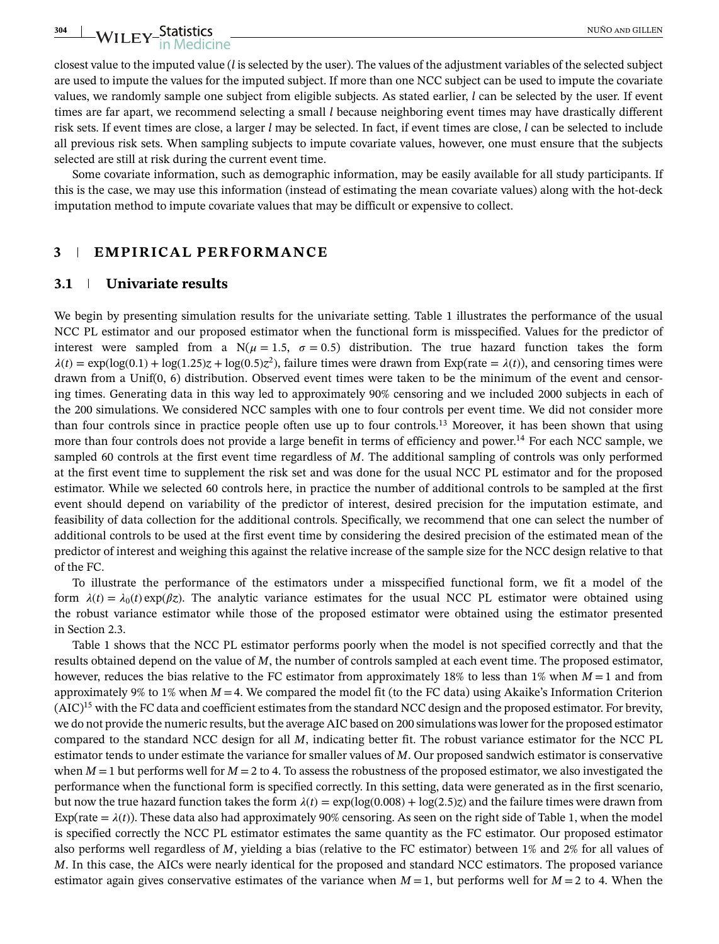# WILEY<sup>-Statistics</sup><br>
WILEY<sup>-Statistics</sup>

closest value to the imputed value (*l* is selected by the user). The values of the adjustment variables of the selected subject are used to impute the values for the imputed subject. If more than one NCC subject can be used to impute the covariate values, we randomly sample one subject from eligible subjects. As stated earlier, *l* can be selected by the user. If event times are far apart, we recommend selecting a small *l* because neighboring event times may have drastically different risk sets. If event times are close, a larger *l* may be selected. In fact, if event times are close, *l* can be selected to include all previous risk sets. When sampling subjects to impute covariate values, however, one must ensure that the subjects selected are still at risk during the current event time.

Some covariate information, such as demographic information, may be easily available for all study participants. If this is the case, we may use this information (instead of estimating the mean covariate values) along with the hot-deck imputation method to impute covariate values that may be difficult or expensive to collect.

#### **3 EMPIRICAL PERFORMANCE**

#### **3.1 Univariate results**

We begin by presenting simulation results for the univariate setting. Table 1 illustrates the performance of the usual NCC PL estimator and our proposed estimator when the functional form is misspecified. Values for the predictor of interest were sampled from a  $N(\mu = 1.5, \sigma = 0.5)$  distribution. The true hazard function takes the form  $\lambda(t) = \exp(\log(0.1) + \log(1.25)z + \log(0.5)z^2)$ , failure times were drawn from Exp(rate =  $\lambda(t)$ ), and censoring times were drawn from a Unif(0, 6) distribution. Observed event times were taken to be the minimum of the event and censoring times. Generating data in this way led to approximately 90% censoring and we included 2000 subjects in each of the 200 simulations. We considered NCC samples with one to four controls per event time. We did not consider more than four controls since in practice people often use up to four controls.13 Moreover, it has been shown that using more than four controls does not provide a large benefit in terms of efficiency and power.<sup>14</sup> For each NCC sample, we sampled 60 controls at the first event time regardless of *M*. The additional sampling of controls was only performed at the first event time to supplement the risk set and was done for the usual NCC PL estimator and for the proposed estimator. While we selected 60 controls here, in practice the number of additional controls to be sampled at the first event should depend on variability of the predictor of interest, desired precision for the imputation estimate, and feasibility of data collection for the additional controls. Specifically, we recommend that one can select the number of additional controls to be used at the first event time by considering the desired precision of the estimated mean of the predictor of interest and weighing this against the relative increase of the sample size for the NCC design relative to that of the FC.

To illustrate the performance of the estimators under a misspecified functional form, we fit a model of the form  $\lambda(t) = \lambda_0(t) \exp(\beta z)$ . The analytic variance estimates for the usual NCC PL estimator were obtained using the robust variance estimator while those of the proposed estimator were obtained using the estimator presented in Section 2.3.

Table 1 shows that the NCC PL estimator performs poorly when the model is not specified correctly and that the results obtained depend on the value of *M*, the number of controls sampled at each event time. The proposed estimator, however, reduces the bias relative to the FC estimator from approximately 18% to less than 1% when *M* =1 and from approximately 9% to 1% when  $M = 4$ . We compared the model fit (to the FC data) using Akaike's Information Criterion  $(AIC)^{15}$  with the FC data and coefficient estimates from the standard NCC design and the proposed estimator. For brevity, we do not provide the numeric results, but the average AIC based on 200 simulations was lower for the proposed estimator compared to the standard NCC design for all *M*, indicating better fit. The robust variance estimator for the NCC PL estimator tends to under estimate the variance for smaller values of *M*. Our proposed sandwich estimator is conservative when  $M = 1$  but performs well for  $M = 2$  to 4. To assess the robustness of the proposed estimator, we also investigated the performance when the functional form is specified correctly. In this setting, data were generated as in the first scenario, but now the true hazard function takes the form  $\lambda(t) = \exp(\log(0.008) + \log(2.5)z)$  and the failure times were drawn from  $Exp(rate = \lambda(t))$ . These data also had approximately 90% censoring. As seen on the right side of Table 1, when the model is specified correctly the NCC PL estimator estimates the same quantity as the FC estimator. Our proposed estimator also performs well regardless of *M*, yielding a bias (relative to the FC estimator) between 1% and 2% for all values of *M*. In this case, the AICs were nearly identical for the proposed and standard NCC estimators. The proposed variance estimator again gives conservative estimates of the variance when  $M = 1$ , but performs well for  $M = 2$  to 4. When the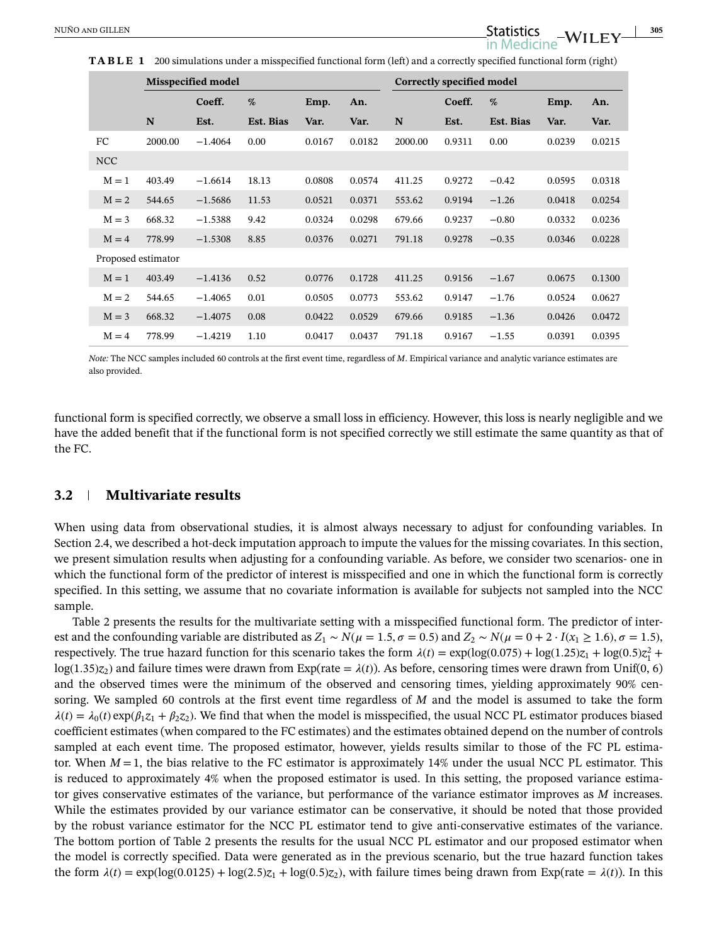|                    |         | <b>Misspecified model</b> |           |        | <b>Correctly specified model</b> |         |        |           |        |        |  |
|--------------------|---------|---------------------------|-----------|--------|----------------------------------|---------|--------|-----------|--------|--------|--|
|                    |         | Coeff.                    | $\%$      | Emp.   | An.                              |         | Coeff. | $\%$      | Emp.   | An.    |  |
|                    | N       | Est.                      | Est. Bias | Var.   | Var.                             | N       | Est.   | Est. Bias | Var.   | Var.   |  |
| FC                 | 2000.00 | $-1.4064$                 | 0.00      | 0.0167 | 0.0182                           | 2000.00 | 0.9311 | 0.00      | 0.0239 | 0.0215 |  |
| <b>NCC</b>         |         |                           |           |        |                                  |         |        |           |        |        |  |
| $M = 1$            | 403.49  | $-1.6614$                 | 18.13     | 0.0808 | 0.0574                           | 411.25  | 0.9272 | $-0.42$   | 0.0595 | 0.0318 |  |
| $M = 2$            | 544.65  | $-1.5686$                 | 11.53     | 0.0521 | 0.0371                           | 553.62  | 0.9194 | $-1.26$   | 0.0418 | 0.0254 |  |
| $M = 3$            | 668.32  | $-1.5388$                 | 9.42      | 0.0324 | 0.0298                           | 679.66  | 0.9237 | $-0.80$   | 0.0332 | 0.0236 |  |
| $M = 4$            | 778.99  | $-1.5308$                 | 8.85      | 0.0376 | 0.0271                           | 791.18  | 0.9278 | $-0.35$   | 0.0346 | 0.0228 |  |
| Proposed estimator |         |                           |           |        |                                  |         |        |           |        |        |  |
| $M = 1$            | 403.49  | $-1.4136$                 | 0.52      | 0.0776 | 0.1728                           | 411.25  | 0.9156 | $-1.67$   | 0.0675 | 0.1300 |  |
| $M = 2$            | 544.65  | $-1.4065$                 | 0.01      | 0.0505 | 0.0773                           | 553.62  | 0.9147 | $-1.76$   | 0.0524 | 0.0627 |  |
| $M = 3$            | 668.32  | $-1.4075$                 | 0.08      | 0.0422 | 0.0529                           | 679.66  | 0.9185 | $-1.36$   | 0.0426 | 0.0472 |  |
| $M = 4$            | 778.99  | $-1.4219$                 | 1.10      | 0.0417 | 0.0437                           | 791.18  | 0.9167 | $-1.55$   | 0.0391 | 0.0395 |  |

*Note:* The NCC samples included 60 controls at the first event time, regardless of *M*. Empirical variance and analytic variance estimates are also provided.

functional form is specified correctly, we observe a small loss in efficiency. However, this loss is nearly negligible and we have the added benefit that if the functional form is not specified correctly we still estimate the same quantity as that of the FC.

#### **3.2 Multivariate results**

When using data from observational studies, it is almost always necessary to adjust for confounding variables. In Section 2.4, we described a hot-deck imputation approach to impute the values for the missing covariates. In this section, we present simulation results when adjusting for a confounding variable. As before, we consider two scenarios- one in which the functional form of the predictor of interest is misspecified and one in which the functional form is correctly specified. In this setting, we assume that no covariate information is available for subjects not sampled into the NCC sample.

Table 2 presents the results for the multivariate setting with a misspecified functional form. The predictor of interest and the confounding variable are distributed as  $Z_1 \sim N(\mu = 1.5, \sigma = 0.5)$  and  $Z_2 \sim N(\mu = 0 + 2 \cdot I(x_1 \ge 1.6), \sigma = 1.5)$ , respectively. The true hazard function for this scenario takes the form  $\lambda(t) = \exp(\log(0.075) + \log(1.25)z_1 + \log(0.5)z_1^2 +$  $log(1.35)z_2$ ) and failure times were drawn from Exp(rate =  $\lambda(t)$ ). As before, censoring times were drawn from Unif(0, 6) and the observed times were the minimum of the observed and censoring times, yielding approximately 90% censoring. We sampled 60 controls at the first event time regardless of *M* and the model is assumed to take the form  $\lambda(t) = \lambda_0(t) \exp(\beta_1 z_1 + \beta_2 z_2)$ . We find that when the model is misspecified, the usual NCC PL estimator produces biased coefficient estimates (when compared to the FC estimates) and the estimates obtained depend on the number of controls sampled at each event time. The proposed estimator, however, yields results similar to those of the FC PL estimator. When  $M = 1$ , the bias relative to the FC estimator is approximately 14% under the usual NCC PL estimator. This is reduced to approximately 4% when the proposed estimator is used. In this setting, the proposed variance estimator gives conservative estimates of the variance, but performance of the variance estimator improves as *M* increases. While the estimates provided by our variance estimator can be conservative, it should be noted that those provided by the robust variance estimator for the NCC PL estimator tend to give anti-conservative estimates of the variance. The bottom portion of Table 2 presents the results for the usual NCC PL estimator and our proposed estimator when the model is correctly specified. Data were generated as in the previous scenario, but the true hazard function takes the form  $\lambda(t) = \exp(\log(0.0125) + \log(2.5)z_1 + \log(0.5)z_2)$ , with failure times being drawn from Exp(rate =  $\lambda(t)$ ). In this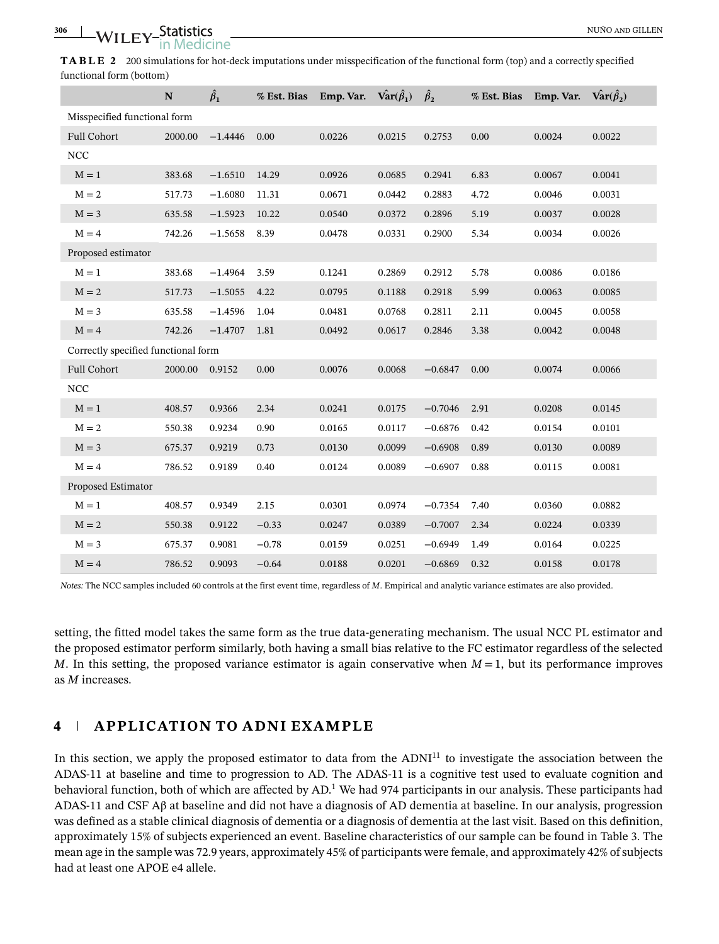**TABLE 2** 200 simulations for hot-deck imputations under misspecification of the functional form (top) and a correctly specified functional form (bottom)

|                                     | ${\bf N}$ | $\hat{\beta}_1$ | % Est. Bias | Emp. Var. | $\hat{\text{Var}}(\hat{\beta}_1)$ | $\hat{\beta}_2$ | % Est. Bias | Emp. Var. | $\hat{\text{Var}}(\hat{\beta}_2)$ |
|-------------------------------------|-----------|-----------------|-------------|-----------|-----------------------------------|-----------------|-------------|-----------|-----------------------------------|
| Misspecified functional form        |           |                 |             |           |                                   |                 |             |           |                                   |
| <b>Full Cohort</b>                  | 2000.00   | $-1.4446$       | 0.00        | 0.0226    | 0.0215                            | 0.2753          | 0.00        | 0.0024    | 0.0022                            |
| <b>NCC</b>                          |           |                 |             |           |                                   |                 |             |           |                                   |
| $M = 1$                             | 383.68    | $-1.6510$       | 14.29       | 0.0926    | 0.0685                            | 0.2941          | 6.83        | 0.0067    | 0.0041                            |
| $M = 2$                             | 517.73    | $-1.6080$       | 11.31       | 0.0671    | 0.0442                            | 0.2883          | 4.72        | 0.0046    | 0.0031                            |
| $M = 3$                             | 635.58    | $-1.5923$       | 10.22       | 0.0540    | 0.0372                            | 0.2896          | 5.19        | 0.0037    | 0.0028                            |
| $M = 4$                             | 742.26    | $-1.5658$       | 8.39        | 0.0478    | 0.0331                            | 0.2900          | 5.34        | 0.0034    | 0.0026                            |
| Proposed estimator                  |           |                 |             |           |                                   |                 |             |           |                                   |
| $M = 1$                             | 383.68    | $-1.4964$       | 3.59        | 0.1241    | 0.2869                            | 0.2912          | 5.78        | 0.0086    | 0.0186                            |
| $M = 2$                             | 517.73    | $-1.5055$       | 4.22        | 0.0795    | 0.1188                            | 0.2918          | 5.99        | 0.0063    | 0.0085                            |
| $M = 3$                             | 635.58    | $-1.4596$       | 1.04        | 0.0481    | 0.0768                            | 0.2811          | 2.11        | 0.0045    | 0.0058                            |
| $M = 4$                             | 742.26    | $-1.4707$       | 1.81        | 0.0492    | 0.0617                            | 0.2846          | 3.38        | 0.0042    | 0.0048                            |
| Correctly specified functional form |           |                 |             |           |                                   |                 |             |           |                                   |
| Full Cohort                         | 2000.00   | 0.9152          | 0.00        | 0.0076    | 0.0068                            | $-0.6847$       | 0.00        | 0.0074    | 0.0066                            |
| <b>NCC</b>                          |           |                 |             |           |                                   |                 |             |           |                                   |
| $M = 1$                             | 408.57    | 0.9366          | 2.34        | 0.0241    | 0.0175                            | $-0.7046$       | 2.91        | 0.0208    | 0.0145                            |
| $M = 2$                             | 550.38    | 0.9234          | 0.90        | 0.0165    | 0.0117                            | $-0.6876$       | 0.42        | 0.0154    | 0.0101                            |
| $M = 3$                             | 675.37    | 0.9219          | 0.73        | 0.0130    | 0.0099                            | $-0.6908$       | 0.89        | 0.0130    | 0.0089                            |
| $M = 4$                             | 786.52    | 0.9189          | 0.40        | 0.0124    | 0.0089                            | $-0.6907$       | 0.88        | 0.0115    | 0.0081                            |
| Proposed Estimator                  |           |                 |             |           |                                   |                 |             |           |                                   |
| $M = 1$                             | 408.57    | 0.9349          | 2.15        | 0.0301    | 0.0974                            | $-0.7354$       | 7.40        | 0.0360    | 0.0882                            |
| $M = 2$                             | 550.38    | 0.9122          | $-0.33$     | 0.0247    | 0.0389                            | $-0.7007$       | 2.34        | 0.0224    | 0.0339                            |
| $M = 3$                             | 675.37    | 0.9081          | $-0.78$     | 0.0159    | 0.0251                            | $-0.6949$       | 1.49        | 0.0164    | 0.0225                            |
| $M = 4$                             | 786.52    | 0.9093          | $-0.64$     | 0.0188    | 0.0201                            | $-0.6869$       | 0.32        | 0.0158    | 0.0178                            |

*Notes:* The NCC samples included 60 controls at the first event time, regardless of *M*. Empirical and analytic variance estimates are also provided.

setting, the fitted model takes the same form as the true data-generating mechanism. The usual NCC PL estimator and the proposed estimator perform similarly, both having a small bias relative to the FC estimator regardless of the selected *M*. In this setting, the proposed variance estimator is again conservative when  $M = 1$ , but its performance improves as *M* increases.

#### **4 APPLICATION TO ADNI EXAMPLE**

In this section, we apply the proposed estimator to data from the ADNI<sup>11</sup> to investigate the association between the ADAS-11 at baseline and time to progression to AD. The ADAS-11 is a cognitive test used to evaluate cognition and behavioral function, both of which are affected by AD.<sup>1</sup> We had 974 participants in our analysis. These participants had ADAS-11 and CSF Aβ at baseline and did not have a diagnosis of AD dementia at baseline. In our analysis, progression was defined as a stable clinical diagnosis of dementia or a diagnosis of dementia at the last visit. Based on this definition, approximately 15% of subjects experienced an event. Baseline characteristics of our sample can be found in Table 3. The mean age in the sample was 72.9 years, approximately 45% of participants were female, and approximately 42% of subjects had at least one APOE e4 allele.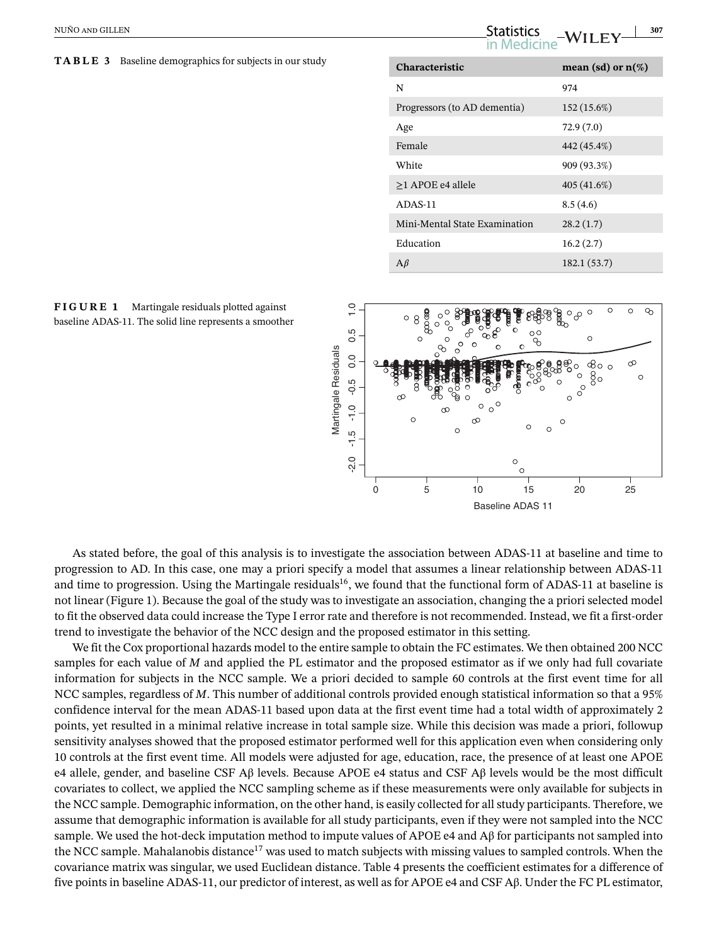**TABLE 3** Baseline demographics for subjects in our study

| Characteristic                | mean (sd) or $n(\%)$ |
|-------------------------------|----------------------|
| N                             | 974                  |
| Progressors (to AD dementia)  | 152 (15.6%)          |
| Age                           | 72.9(7.0)            |
| Female                        | 442 (45.4%)          |
| White                         | 909 (93.3%)          |
| $\geq$ 1 APOE e4 allele       | 405 (41.6%)          |
| ADAS-11                       | 8.5(4.6)             |
| Mini-Mental State Examination | 28.2(1.7)            |
| Education                     | 16.2(2.7)            |
| $A\beta$                      | 182.1(53.7)          |



**FIGURE 1** Martingale residuals plotted against baseline ADAS-11. The solid line represents a smoother

As stated before, the goal of this analysis is to investigate the association between ADAS-11 at baseline and time to progression to AD. In this case, one may a priori specify a model that assumes a linear relationship between ADAS-11 and time to progression. Using the Martingale residuals<sup>16</sup>, we found that the functional form of ADAS-11 at baseline is not linear (Figure 1). Because the goal of the study was to investigate an association, changing the a priori selected model to fit the observed data could increase the Type I error rate and therefore is not recommended. Instead, we fit a first-order trend to investigate the behavior of the NCC design and the proposed estimator in this setting.

We fit the Cox proportional hazards model to the entire sample to obtain the FC estimates. We then obtained 200 NCC samples for each value of *M* and applied the PL estimator and the proposed estimator as if we only had full covariate information for subjects in the NCC sample. We a priori decided to sample 60 controls at the first event time for all NCC samples, regardless of *M*. This number of additional controls provided enough statistical information so that a 95% confidence interval for the mean ADAS-11 based upon data at the first event time had a total width of approximately 2 points, yet resulted in a minimal relative increase in total sample size. While this decision was made a priori, followup sensitivity analyses showed that the proposed estimator performed well for this application even when considering only 10 controls at the first event time. All models were adjusted for age, education, race, the presence of at least one APOE e4 allele, gender, and baseline CSF Aβ levels. Because APOE e4 status and CSF Aβ levels would be the most difficult covariates to collect, we applied the NCC sampling scheme as if these measurements were only available for subjects in the NCC sample. Demographic information, on the other hand, is easily collected for all study participants. Therefore, we assume that demographic information is available for all study participants, even if they were not sampled into the NCC sample. We used the hot-deck imputation method to impute values of APOE e4 and Aβ for participants not sampled into the NCC sample. Mahalanobis distance<sup>17</sup> was used to match subjects with missing values to sampled controls. When the covariance matrix was singular, we used Euclidean distance. Table 4 presents the coefficient estimates for a difference of five points in baseline ADAS-11, our predictor of interest, as well as for APOE e4 and CSF Aβ. Under the FC PL estimator,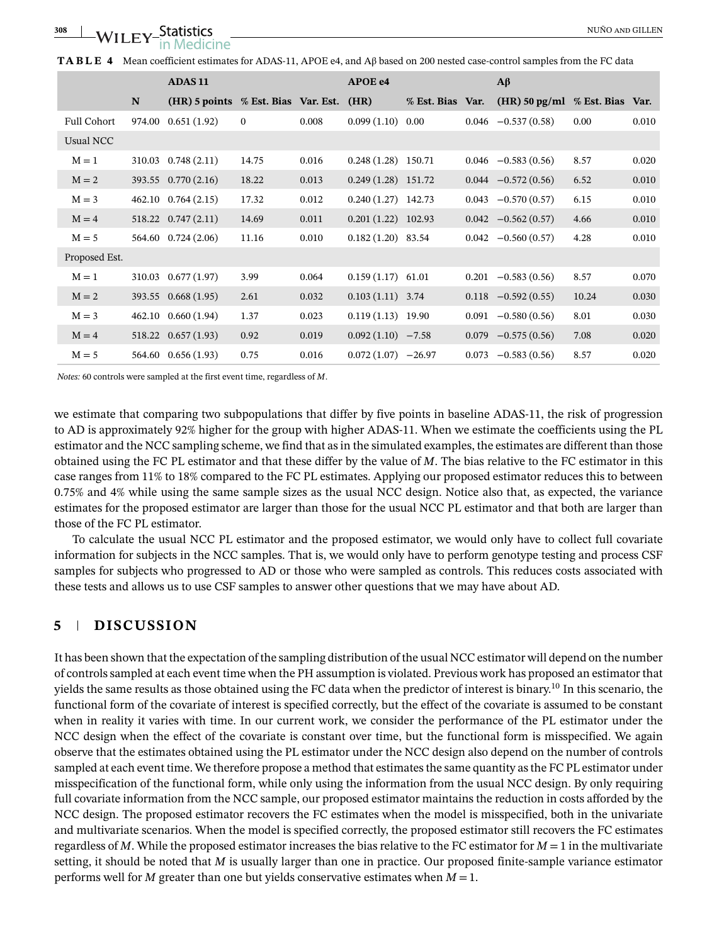|               |        | <b>ADAS11</b>                  |                            |       | <b>APOE e4</b>       |                  |       | $A\beta$             |                  |       |  |
|---------------|--------|--------------------------------|----------------------------|-------|----------------------|------------------|-------|----------------------|------------------|-------|--|
|               | N      | $(HR)$ 5 points                | % Est. Bias Var. Est. (HR) |       |                      | % Est. Bias Var. |       | $(HR)$ 50 pg/ml      | % Est. Bias Var. |       |  |
| Full Cohort   | 974.00 | 0.651(1.92)                    | $\mathbf{0}$               | 0.008 | 0.099(1.10)          | 0.00             | 0.046 | $-0.537(0.58)$       | 0.00             | 0.010 |  |
| Usual NCC     |        |                                |                            |       |                      |                  |       |                      |                  |       |  |
| $M = 1$       |        | 310.03  0.748  (2.11)          | 14.75                      | 0.016 | $0.248(1.28)$ 150.71 |                  | 0.046 | $-0.583(0.56)$       | 8.57             | 0.020 |  |
| $M = 2$       |        | 393.55 0.770 (2.16)            | 18.22                      | 0.013 | $0.249(1.28)$ 151.72 |                  |       | $0.044 -0.572(0.56)$ | 6.52             | 0.010 |  |
| $M = 3$       |        | $462.10 \quad 0.764 \, (2.15)$ | 17.32                      | 0.012 | $0.240(1.27)$ 142.73 |                  | 0.043 | $-0.570(0.57)$       | 6.15             | 0.010 |  |
| $M = 4$       |        | 518.22  0.747  (2.11)          | 14.69                      | 0.011 | $0.201(1.22)$ 102.93 |                  |       | $0.042 -0.562(0.57)$ | 4.66             | 0.010 |  |
| $M = 5$       |        | 564.60  0.724  (2.06)          | 11.16                      | 0.010 | $0.182(1.20)$ 83.54  |                  | 0.042 | $-0.560(0.57)$       | 4.28             | 0.010 |  |
| Proposed Est. |        |                                |                            |       |                      |                  |       |                      |                  |       |  |
| $M = 1$       |        | 310.03 0.677 (1.97)            | 3.99                       | 0.064 | 0.159(1.17)          | 61.01            | 0.201 | $-0.583(0.56)$       | 8.57             | 0.070 |  |
| $M = 2$       |        | 393.55 0.668 (1.95)            | 2.61                       | 0.032 | $0.103(1.11)$ 3.74   |                  |       | $0.118 -0.592(0.55)$ | 10.24            | 0.030 |  |
| $M = 3$       |        | 462.10 0.660 (1.94)            | 1.37                       | 0.023 | $0.119(1.13)$ 19.90  |                  | 0.091 | $-0.580(0.56)$       | 8.01             | 0.030 |  |
| $M = 4$       |        | 518.22 0.657 (1.93)            | 0.92                       | 0.019 | $0.092(1.10)$ -7.58  |                  | 0.079 | $-0.575(0.56)$       | 7.08             | 0.020 |  |
| $M = 5$       |        | 564.60 0.656 (1.93)            | 0.75                       | 0.016 | $0.072(1.07)$ -26.97 |                  | 0.073 | $-0.583(0.56)$       | 8.57             | 0.020 |  |

*Notes:* 60 controls were sampled at the first event time, regardless of *M*.

we estimate that comparing two subpopulations that differ by five points in baseline ADAS-11, the risk of progression to AD is approximately 92% higher for the group with higher ADAS-11. When we estimate the coefficients using the PL estimator and the NCC sampling scheme, we find that as in the simulated examples, the estimates are different than those obtained using the FC PL estimator and that these differ by the value of *M*. The bias relative to the FC estimator in this case ranges from 11% to 18% compared to the FC PL estimates. Applying our proposed estimator reduces this to between 0.75% and 4% while using the same sample sizes as the usual NCC design. Notice also that, as expected, the variance estimates for the proposed estimator are larger than those for the usual NCC PL estimator and that both are larger than those of the FC PL estimator.

To calculate the usual NCC PL estimator and the proposed estimator, we would only have to collect full covariate information for subjects in the NCC samples. That is, we would only have to perform genotype testing and process CSF samples for subjects who progressed to AD or those who were sampled as controls. This reduces costs associated with these tests and allows us to use CSF samples to answer other questions that we may have about AD.

# **5 DISCUSSION**

It has been shown that the expectation of the sampling distribution of the usual NCC estimator will depend on the number of controls sampled at each event time when the PH assumption is violated. Previous work has proposed an estimator that yields the same results as those obtained using the FC data when the predictor of interest is binary.<sup>10</sup> In this scenario, the functional form of the covariate of interest is specified correctly, but the effect of the covariate is assumed to be constant when in reality it varies with time. In our current work, we consider the performance of the PL estimator under the NCC design when the effect of the covariate is constant over time, but the functional form is misspecified. We again observe that the estimates obtained using the PL estimator under the NCC design also depend on the number of controls sampled at each event time. We therefore propose a method that estimates the same quantity as the FC PL estimator under misspecification of the functional form, while only using the information from the usual NCC design. By only requiring full covariate information from the NCC sample, our proposed estimator maintains the reduction in costs afforded by the NCC design. The proposed estimator recovers the FC estimates when the model is misspecified, both in the univariate and multivariate scenarios. When the model is specified correctly, the proposed estimator still recovers the FC estimates regardless of *M*. While the proposed estimator increases the bias relative to the FC estimator for  $M = 1$  in the multivariate setting, it should be noted that *M* is usually larger than one in practice. Our proposed finite-sample variance estimator performs well for *M* greater than one but yields conservative estimates when *M* =1.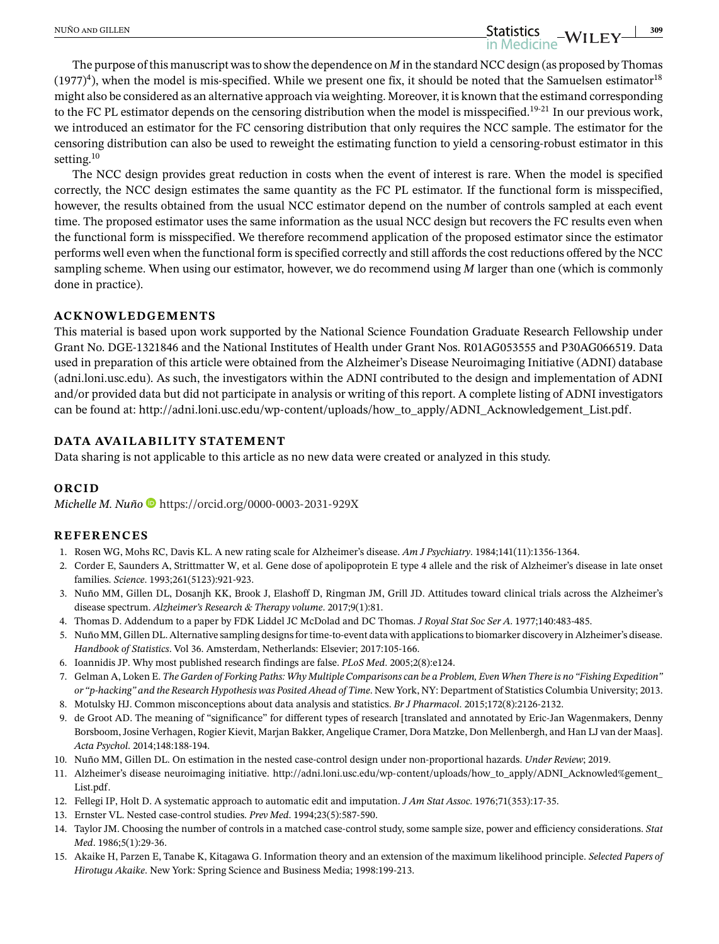The purpose of this manuscript was to show the dependence on *M* in the standard NCC design (as proposed by Thomas  $(1977)^4$ ), when the model is mis-specified. While we present one fix, it should be noted that the Samuelsen estimator<sup>18</sup> might also be considered as an alternative approach via weighting. Moreover, it is known that the estimand corresponding to the FC PL estimator depends on the censoring distribution when the model is misspecified.<sup>19-21</sup> In our previous work, we introduced an estimator for the FC censoring distribution that only requires the NCC sample. The estimator for the censoring distribution can also be used to reweight the estimating function to yield a censoring-robust estimator in this setting.<sup>10</sup>

The NCC design provides great reduction in costs when the event of interest is rare. When the model is specified correctly, the NCC design estimates the same quantity as the FC PL estimator. If the functional form is misspecified, however, the results obtained from the usual NCC estimator depend on the number of controls sampled at each event time. The proposed estimator uses the same information as the usual NCC design but recovers the FC results even when the functional form is misspecified. We therefore recommend application of the proposed estimator since the estimator performs well even when the functional form is specified correctly and still affords the cost reductions offered by the NCC sampling scheme. When using our estimator, however, we do recommend using *M* larger than one (which is commonly done in practice).

#### **ACKNOWLEDGEMENTS**

This material is based upon work supported by the National Science Foundation Graduate Research Fellowship under Grant No. DGE-1321846 and the National Institutes of Health under Grant Nos. R01AG053555 and P30AG066519. Data used in preparation of this article were obtained from the Alzheimer's Disease Neuroimaging Initiative (ADNI) database (adni.loni.usc.edu). As such, the investigators within the ADNI contributed to the design and implementation of ADNI and/or provided data but did not participate in analysis or writing of this report. A complete listing of ADNI investigators can be found at: [http://adni.loni.usc.edu/wp-content/uploads/how\\_to\\_apply/ADNI\\_Acknowledgement\\_List.pdf.](http://adni.loni.usc.edu/wp-content/uploads/how_to_apply/ADNI_Acknowledgement_List.pdf)

#### **DATA AVAILABILITY STATEMENT**

Data sharing is not applicable to this article as no new data were created or analyzed in this study.

#### **ORCID**

*Michelle M. Nuño* D<https://orcid.org/0000-0003-2031-929X>

#### **REFERENCES**

- 1. Rosen WG, Mohs RC, Davis KL. A new rating scale for Alzheimer's disease. *Am J Psychiatry*. 1984;141(11):1356-1364.
- 2. Corder E, Saunders A, Strittmatter W, et al. Gene dose of apolipoprotein E type 4 allele and the risk of Alzheimer's disease in late onset families. *Science*. 1993;261(5123):921-923.
- 3. Nuño MM, Gillen DL, Dosanjh KK, Brook J, Elashoff D, Ringman JM, Grill JD. Attitudes toward clinical trials across the Alzheimer's disease spectrum. *Alzheimer's Research & Therapy volume*. 2017;9(1):81.
- 4. Thomas D. Addendum to a paper by FDK Liddel JC McDolad and DC Thomas. *J Royal Stat Soc Ser A*. 1977;140:483-485.
- 5. Nuño MM, Gillen DL. Alternative sampling designs for time-to-event data with applications to biomarker discovery in Alzheimer's disease. *Handbook of Statistics*. Vol 36. Amsterdam, Netherlands: Elsevier; 2017:105-166.
- 6. Ioannidis JP. Why most published research findings are false. *PLoS Med*. 2005;2(8):e124.
- 7. Gelman A, Loken E. *The Garden of Forking Paths: Why Multiple Comparisons can be a Problem, Even When There is no "Fishing Expedition" or "p-hacking" and the Research Hypothesis was Posited Ahead of Time*. New York, NY: Department of Statistics Columbia University; 2013.
- 8. Motulsky HJ. Common misconceptions about data analysis and statistics. *Br J Pharmacol*. 2015;172(8):2126-2132.
- 9. de Groot AD. The meaning of "significance" for different types of research [translated and annotated by Eric-Jan Wagenmakers, Denny Borsboom, Josine Verhagen, Rogier Kievit, Marjan Bakker, Angelique Cramer, Dora Matzke, Don Mellenbergh, and Han LJ van der Maas]. *Acta Psychol*. 2014;148:188-194.
- 10. Nuño MM, Gillen DL. On estimation in the nested case-control design under non-proportional hazards. *Under Review*; 2019.
- 11. Alzheimer's disease neuroimaging initiative. [http://adni.loni.usc.edu/wp-content/uploads/how\\_to\\_apply/ADNI\\_Acknowled%gement\\_](http://adni.loni.usc.edu/wp-content/uploads/how_to_apply/ADNI_Acknowled%25gement_List.pdf) [List.pdf.](http://adni.loni.usc.edu/wp-content/uploads/how_to_apply/ADNI_Acknowled%25gement_List.pdf)
- 12. Fellegi IP, Holt D. A systematic approach to automatic edit and imputation. *J Am Stat Assoc*. 1976;71(353):17-35.
- 13. Ernster VL. Nested case-control studies. *Prev Med*. 1994;23(5):587-590.
- 14. Taylor JM. Choosing the number of controls in a matched case-control study, some sample size, power and efficiency considerations. *Stat Med*. 1986;5(1):29-36.
- 15. Akaike H, Parzen E, Tanabe K, Kitagawa G. Information theory and an extension of the maximum likelihood principle. *Selected Papers of Hirotugu Akaike*. New York: Spring Science and Business Media; 1998:199-213.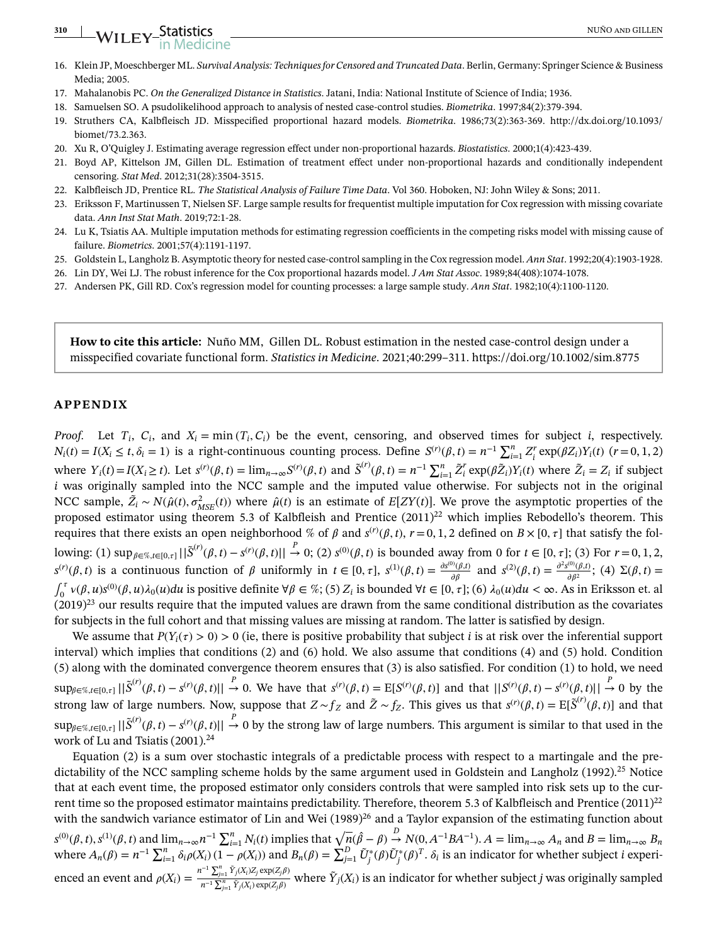**310** NUÑO AND GILLEN

- 16. Klein JP, Moeschberger ML. *Survival Analysis: Techniques for Censored and Truncated Data*. Berlin, Germany: Springer Science & Business Media; 2005.
- 17. Mahalanobis PC. *On the Generalized Distance in Statistics*. Jatani, India: National Institute of Science of India; 1936.
- 18. Samuelsen SO. A psudolikelihood approach to analysis of nested case-control studies. *Biometrika*. 1997;84(2):379-394.
- 19. Struthers CA, Kalbfleisch JD. Misspecified proportional hazard models. *Biometrika*. 1986;73(2):363-369. [http://dx.doi.org/10.1093/](http://dx.doi.org/10.1093/biomet/73.2.363) [biomet/73.2.363.](http://dx.doi.org/10.1093/biomet/73.2.363)
- 20. Xu R, O'Quigley J. Estimating average regression effect under non-proportional hazards. *Biostatistics*. 2000;1(4):423-439.
- 21. Boyd AP, Kittelson JM, Gillen DL. Estimation of treatment effect under non-proportional hazards and conditionally independent censoring. *Stat Med*. 2012;31(28):3504-3515.
- 22. Kalbfleisch JD, Prentice RL. *The Statistical Analysis of Failure Time Data*. Vol 360. Hoboken, NJ: John Wiley & Sons; 2011.
- 23. Eriksson F, Martinussen T, Nielsen SF. Large sample results for frequentist multiple imputation for Cox regression with missing covariate data. *Ann Inst Stat Math*. 2019;72:1-28.
- 24. Lu K, Tsiatis AA. Multiple imputation methods for estimating regression coefficients in the competing risks model with missing cause of failure. *Biometrics*. 2001;57(4):1191-1197.
- 25. Goldstein L, Langholz B. Asymptotic theory for nested case-control sampling in the Cox regression model. *Ann Stat*. 1992;20(4):1903-1928.
- 26. Lin DY, Wei LJ. The robust inference for the Cox proportional hazards model. *J Am Stat Assoc*. 1989;84(408):1074-1078.
- 27. Andersen PK, Gill RD. Cox's regression model for counting processes: a large sample study. *Ann Stat*. 1982;10(4):1100-1120.

**How to cite this article:** Nuño MM, Gillen DL. Robust estimation in the nested case-control design under a misspecified covariate functional form. *Statistics in Medicine*. 2021;40:299–311. https://doi.org/10.1002/sim.8775

#### **APPENDIX**

*Proof.* Let  $T_i$ ,  $C_i$ , and  $X_i = \min(T_i, C_i)$  be the event, censoring, and observed times for subject *i*, respectively.  $N_i(t) = I(X_i \le t, \delta_i = 1)$  is a right-continuous counting process. Define  $S^{(r)}(\beta, t) = n^{-1} \sum_{i=1}^n Z_i^r \exp(\beta Z_i) Y_i(t)$   $(r = 0, 1, 2)$ where  $Y_i(t) = I(X_i \ge t)$ . Let  $s^{(r)}(\beta, t) = \lim_{n \to \infty} S^{(r)}(\beta, t)$  and  $\tilde{S}^{(r)}(\beta, t) = n^{-1} \sum_{i=1}^n \tilde{Z}_i^r \exp(\beta \tilde{Z}_i) Y_i(t)$  where  $\tilde{Z}_i = Z_i$  if subject *i* was originally sampled into the NCC sample and the imputed value otherwise. For subjects not in the original NCC sample,  $\tilde{Z}_i \sim N(\hat{\mu}(t), \sigma_{MSE}^2(t))$  where  $\hat{\mu}(t)$  is an estimate of  $E[ZY(t)]$ . We prove the asymptotic properties of the proposed estimator using theorem 5.3 of Kalbfleish and Prentice (2011)<sup>22</sup> which implies Rebodello's theorem. This requires that there exists an open neighborhood % of  $\beta$  and  $s^{(r)}(\beta, t)$ ,  $r = 0, 1, 2$  defined on  $B \times [0, \tau]$  that satisfy the following: (1)  $\sup_{\theta \in \mathcal{C}, t \in [0, \tau]} ||\tilde{S}^{(r)}(\theta, t) - s^{(r)}(\theta, t)|| \to 0$ ; (2)  $s^{(0)}(\theta, t)$  is bounded away from 0 for  $t \in [0, \tau]$ ; (3) For  $r = 0, 1, 2$ ,  $s^{(r)}(\beta, t)$  is a continuous function of  $\beta$  uniformly in  $t \in [0, \tau]$ ,  $s^{(1)}(\beta, t) = \frac{\partial s^{(0)}(\beta, t)}{\partial \beta}$  $\frac{\partial^{0}(\beta,t)}{\partial \beta}$  and  $s^{(2)}(\beta,t) = \frac{\partial^{2}s^{(0)}(\beta,t)}{\partial \beta^{2}}$ ; (4)  $\Sigma(\beta,t) =$  $\int_0^{\tau} v(\beta, u) s^{(0)}(\beta, u) \lambda_0(u) du$  is positive definite  $\forall \beta \in \mathcal{C}$ ; (5)  $Z_i$  is bounded  $\forall t \in [0, \tau]$ ; (6)  $\lambda_0(u) du < \infty$ . As in Eriksson et. al  $(2019)^{23}$  our results require that the imputed values are drawn from the same conditional distribution as the covariates for subjects in the full cohort and that missing values are missing at random. The latter is satisfied by design.

We assume that  $P(Y_i(\tau) > 0) > 0$  (ie, there is positive probability that subject *i* is at risk over the inferential support interval) which implies that conditions (2) and (6) hold. We also assume that conditions (4) and (5) hold. Condition (5) along with the dominated convergence theorem ensures that (3) is also satisfied. For condition (1) to hold, we need  $\sup_{\beta \in \mathcal{C}, t \in [0,\tau]} ||\tilde{S}^{(r)}(\beta, t) - s^{(r)}(\beta, t)|| \stackrel{P}{\to} 0$ . We have that  $s^{(r)}(\beta, t) = E[S^{(r)}(\beta, t)]$  and that  $||S^{(r)}(\beta, t) - s^{(r)}(\beta, t)|| \stackrel{P}{\to} 0$  by the strong law of large numbers. Now, suppose that  $Z \sim f_Z$  and  $\tilde{Z} \sim f_Z$ . This gives us that  $s^{(r)}(\beta, t) = E[\tilde{S}^{(r)}(\beta, t)]$  and that  $\sup_{\beta \in \mathcal{C}_{\ell}, t \in [0,\tau]} ||\tilde{S}^{(r)}(\beta, t) - s^{(r)}(\beta, t)|| \to 0$  by the strong law of large numbers. This argument is similar to that used in the work of Lu and Tsiatis (2001).<sup>24</sup>

Equation (2) is a sum over stochastic integrals of a predictable process with respect to a martingale and the predictability of the NCC sampling scheme holds by the same argument used in Goldstein and Langholz (1992).<sup>25</sup> Notice that at each event time, the proposed estimator only considers controls that were sampled into risk sets up to the current time so the proposed estimator maintains predictability. Therefore, theorem 5.3 of Kalbfleisch and Prentice  $(2011)^{22}$ with the sandwich variance estimator of Lin and Wei  $(1989)^{26}$  and a Taylor expansion of the estimating function about  $s^{(0)}(\beta, t), s^{(1)}(\beta, t)$  and  $\lim_{n\to\infty} n^{-1} \sum_{i=1}^{n} N_i(t)$  implies that  $\sqrt{n}(\hat{\beta} - \beta) \stackrel{D}{\to} N(0, A^{-1}BA^{-1}).$   $A = \lim_{n\to\infty} A_n$  and  $B = \lim_{n\to\infty} B_n$ where  $A_n(\beta) = n^{-1} \sum_{i=1}^n \delta_i \rho(X_i) (1 - \rho(X_i))$  and  $B_n(\beta) = \sum_{j=1}^D \tilde{U}_j^*(\beta) \tilde{U}_j^*(\beta)^T$ .  $\delta_i$  is an indicator for whether subject *i* experienced an event and  $\rho(X_i) = \frac{n^{-1} \sum_{j=1}^n \tilde{Y}_j(X_i) Z_j \exp(Z_j \beta)}{n^{-1} \sum_{j=1}^n \tilde{Y}_j(X_i) \exp(Z_j \beta)}$ *n*<sup>-1</sup> ∑<sub>*j*=1</sub> *Y*<sub>*j*</sub>(*X<sub>i</sub>*)∠*j*exp(*Z<sub>j</sub>β*) where  $\tilde{Y}_j(X_i)$  is an indicator for whether subject *j* was originally sampled